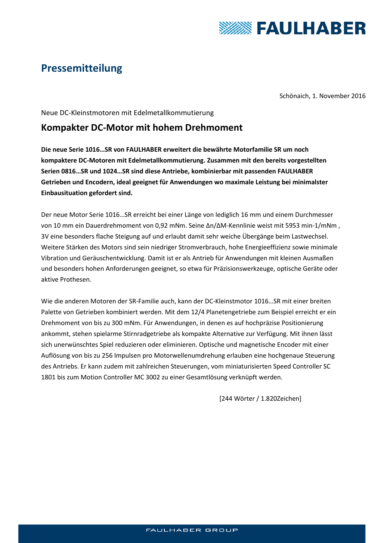

# **Pressemitteilung**

Schönaich, 1. November 2016

#### Neue DC-Kleinstmotoren mit Edelmetallkommutierung

### **Kompakter DC-Motor mit hohem Drehmoment**

**Die neue Serie 1016…SR von FAULHABER erweitert die bewährte Motorfamilie SR um noch kompaktere DC-Motoren mit Edelmetallkommutierung. Zusammen mit den bereits vorgestellten Serien 0816…SR und 1024…SR sind diese Antriebe, kombinierbar mit passenden FAULHABER Getrieben und Encodern, ideal geeignet für Anwendungen wo maximale Leistung bei minimalster Einbausituation gefordert sind.**

Der neue Motor Serie 1016…SR erreicht bei einer Länge von lediglich 16 mm und einem Durchmesser von 10 mm ein Dauerdrehmoment von 0,92 mNm. Seine Δn/ΔM-Kennlinie weist mit 5953 min-1/mNm , 3V eine besonders flache Steigung auf und erlaubt damit sehr weiche Übergänge beim Lastwechsel. Weitere Stärken des Motors sind sein niedriger Stromverbrauch, hohe Energieeffizienz sowie minimale Vibration und Geräuschentwicklung. Damit ist er als Antrieb für Anwendungen mit kleinen Ausmaßen und besonders hohen Anforderungen geeignet, so etwa für Präzisionswerkzeuge, optische Geräte oder aktive Prothesen.

Wie die anderen Motoren der SR-Familie auch, kann der DC-Kleinstmotor 1016…SR mit einer breiten Palette von Getrieben kombiniert werden. Mit dem 12/4 Planetengetriebe zum Beispiel erreicht er ein Drehmoment von bis zu 300 mNm. Für Anwendungen, in denen es auf hochpräzise Positionierung ankommt, stehen spielarme Stirnradgetriebe als kompakte Alternative zur Verfügung. Mit ihnen lässt sich unerwünschtes Spiel reduzieren oder eliminieren. Optische und magnetische Encoder mit einer Auflösung von bis zu 256 Impulsen pro Motorwellenumdrehung erlauben eine hochgenaue Steuerung des Antriebs. Er kann zudem mit zahlreichen Steuerungen, vom miniaturisierten Speed Controller SC 1801 bis zum Motion Controller MC 3002 zu einer Gesamtlösung verknüpft werden.

[244 Wörter / 1.820Zeichen]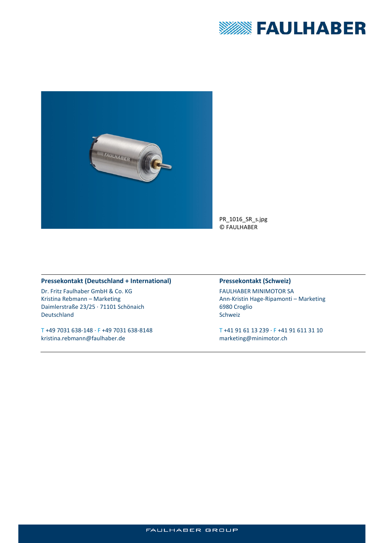



#### **Pressekontakt (Deutschland + International)**

Dr. Fritz Faulhaber GmbH & Co. KG Kristina Rebmann – Marketing Daimlerstraße 23/25 · 71101 Schönaich Deutschland

T +49 7031 638-148 · F +49 7031 638-8148 kristina.rebmann@faulhaber.de

### **Pressekontakt (Schweiz)**

FAULHABER MINIMOTOR SA Ann-Kristin Hage-Ripamonti – Marketing 6980 Croglio Schweiz

T +41 91 61 13 239 · F +41 91 611 31 10 marketing@minimotor.ch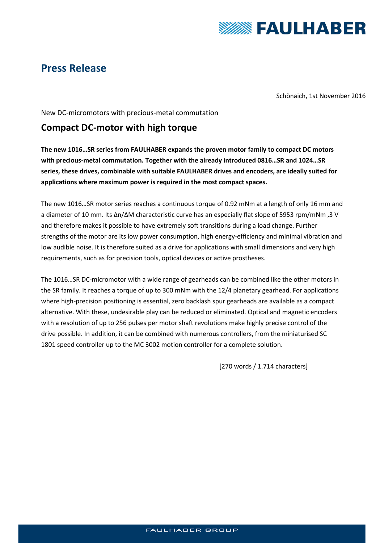

## **Press Release**

Schönaich, 1st November 2016

New DC-micromotors with precious-metal commutation

### **Compact DC-motor with high torque**

**The new 1016…SR series from FAULHABER expands the proven motor family to compact DC motors with precious-metal commutation. Together with the already introduced 0816…SR and 1024…SR series, these drives, combinable with suitable FAULHABER drives and encoders, are ideally suited for applications where maximum power is required in the most compact spaces.**

The new 1016…SR motor series reaches a continuous torque of 0.92 mNm at a length of only 16 mm and a diameter of 10 mm. Its Δn/ΔM characteristic curve has an especially flat slope of 5953 rpm/mNm ,3 V and therefore makes it possible to have extremely soft transitions during a load change. Further strengths of the motor are its low power consumption, high energy-efficiency and minimal vibration and low audible noise. It is therefore suited as a drive for applications with small dimensions and very high requirements, such as for precision tools, optical devices or active prostheses.

The 1016…SR DC-micromotor with a wide range of gearheads can be combined like the other motors in the SR family. It reaches a torque of up to 300 mNm with the 12/4 planetary gearhead. For applications where high-precision positioning is essential, zero backlash spur gearheads are available as a compact alternative. With these, undesirable play can be reduced or eliminated. Optical and magnetic encoders with a resolution of up to 256 pulses per motor shaft revolutions make highly precise control of the drive possible. In addition, it can be combined with numerous controllers, from the miniaturised SC 1801 speed controller up to the MC 3002 motion controller for a complete solution.

[270 words / 1.714 characters]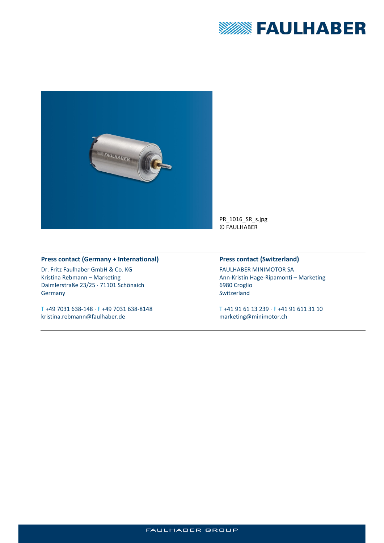



#### **Press contact (Germany + International)**

Dr. Fritz Faulhaber GmbH & Co. KG Kristina Rebmann – Marketing Daimlerstraße 23/25 · 71101 Schönaich Germany

T +49 7031 638-148 · F +49 7031 638-8148 kristina.rebmann@faulhaber.de

#### **Press contact (Switzerland)**

FAULHABER MINIMOTOR SA Ann-Kristin Hage-Ripamonti – Marketing 6980 Croglio Switzerland

T +41 91 61 13 239 · F +41 91 611 31 10 marketing@minimotor.ch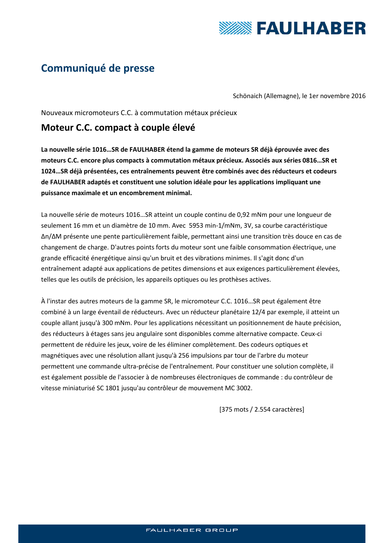

# **Communiqué de presse**

Schönaich (Allemagne), le 1er novembre 2016

Nouveaux micromoteurs C.C. à commutation métaux précieux

### **Moteur C.C. compact à couple élevé**

**La nouvelle série 1016…SR de FAULHABER étend la gamme de moteurs SR déjà éprouvée avec des moteurs C.C. encore plus compacts à commutation métaux précieux. Associés aux séries 0816…SR et 1024…SR déjà présentées, ces entraînements peuvent être combinés avec des réducteurs et codeurs de FAULHABER adaptés et constituent une solution idéale pour les applications impliquant une puissance maximale et un encombrement minimal.**

La nouvelle série de moteurs 1016…SR atteint un couple continu de 0,92 mNm pour une longueur de seulement 16 mm et un diamètre de 10 mm. Avec 5953 min-1/mNm, 3V, sa courbe caractéristique Δn/ΔM présente une pente particulièrement faible, permettant ainsi une transition très douce en cas de changement de charge. D'autres points forts du moteur sont une faible consommation électrique, une grande efficacité énergétique ainsi qu'un bruit et des vibrations minimes. Il s'agit donc d'un entraînement adapté aux applications de petites dimensions et aux exigences particulièrement élevées, telles que les outils de précision, les appareils optiques ou les prothèses actives.

À l'instar des autres moteurs de la gamme SR, le micromoteur C.C. 1016…SR peut également être combiné à un large éventail de réducteurs. Avec un réducteur planétaire 12/4 par exemple, il atteint un couple allant jusqu'à 300 mNm. Pour les applications nécessitant un positionnement de haute précision, des réducteurs à étages sans jeu angulaire sont disponibles comme alternative compacte. Ceux-ci permettent de réduire les jeux, voire de les éliminer complètement. Des codeurs optiques et magnétiques avec une résolution allant jusqu'à 256 impulsions par tour de l'arbre du moteur permettent une commande ultra-précise de l'entraînement. Pour constituer une solution complète, il est également possible de l'associer à de nombreuses électroniques de commande : du contrôleur de vitesse miniaturisé SC 1801 jusqu'au contrôleur de mouvement MC 3002.

[375 mots / 2.554 caractères]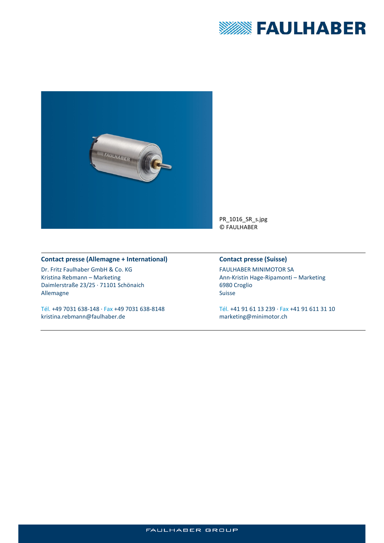



#### **Contact presse (Allemagne + International)**

Dr. Fritz Faulhaber GmbH & Co. KG Kristina Rebmann – Marketing Daimlerstraße 23/25 · 71101 Schönaich Allemagne

Tél. +49 7031 638-148 · Fax +49 7031 638-8148 kristina.rebmann@faulhaber.de

#### **Contact presse (Suisse)**

FAULHABER MINIMOTOR SA Ann-Kristin Hage-Ripamonti – Marketing 6980 Croglio Suisse

Tél. +41 91 61 13 239 · Fax +41 91 611 31 10 marketing@minimotor.ch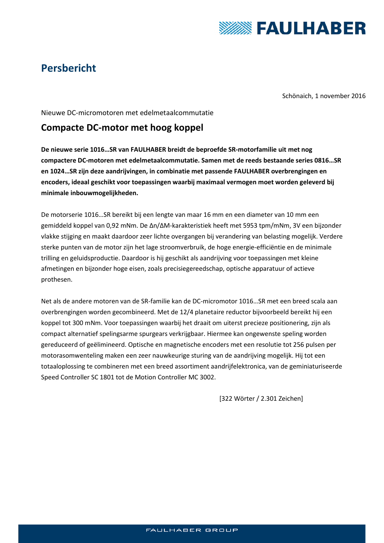

# **Persbericht**

Schönaich, 1 november 2016

Nieuwe DC-micromotoren met edelmetaalcommutatie

### **Compacte DC-motor met hoog koppel**

**De nieuwe serie 1016…SR van FAULHABER breidt de beproefde SR-motorfamilie uit met nog compactere DC-motoren met edelmetaalcommutatie. Samen met de reeds bestaande series 0816…SR en 1024…SR zijn deze aandrijvingen, in combinatie met passende FAULHABER overbrengingen en encoders, ideaal geschikt voor toepassingen waarbij maximaal vermogen moet worden geleverd bij minimale inbouwmogelijkheden.**

De motorserie 1016…SR bereikt bij een lengte van maar 16 mm en een diameter van 10 mm een gemiddeld koppel van 0,92 mNm. De Δn/ΔM-karakteristiek heeft met 5953 tpm/mNm, 3V een bijzonder vlakke stijging en maakt daardoor zeer lichte overgangen bij verandering van belasting mogelijk. Verdere sterke punten van de motor zijn het lage stroomverbruik, de hoge energie-efficiëntie en de minimale trilling en geluidsproductie. Daardoor is hij geschikt als aandrijving voor toepassingen met kleine afmetingen en bijzonder hoge eisen, zoals precisiegereedschap, optische apparatuur of actieve prothesen.

Net als de andere motoren van de SR-familie kan de DC-micromotor 1016…SR met een breed scala aan overbrengingen worden gecombineerd. Met de 12/4 planetaire reductor bijvoorbeeld bereikt hij een koppel tot 300 mNm. Voor toepassingen waarbij het draait om uiterst precieze positionering, zijn als compact alternatief spelingsarme spurgears verkrijgbaar. Hiermee kan ongewenste speling worden gereduceerd of geëlimineerd. Optische en magnetische encoders met een resolutie tot 256 pulsen per motorasomwenteling maken een zeer nauwkeurige sturing van de aandrijving mogelijk. Hij tot een totaaloplossing te combineren met een breed assortiment aandrijfelektronica, van de geminiaturiseerde Speed Controller SC 1801 tot de Motion Controller MC 3002.

[322 Wörter / 2.301 Zeichen]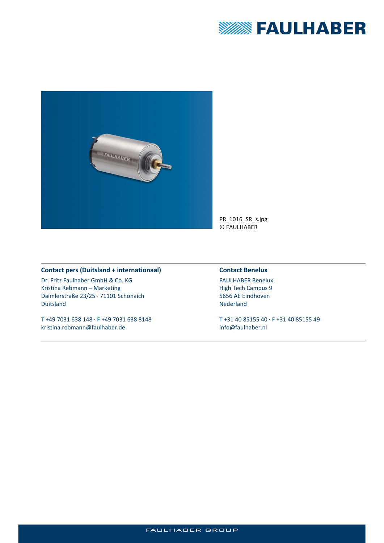



#### **Contact pers (Duitsland + internationaal)**

Dr. Fritz Faulhaber GmbH & Co. KG Kristina Rebmann – Marketing Daimlerstraße 23/25 · 71101 Schönaich Duitsland

T +49 7031 638 148 · F +49 7031 638 8148 kristina.rebmann@faulhaber.de

#### **Contact Benelux**

FAULHABER Benelux High Tech Campus 9 5656 AE Eindhoven Nederland

T +31 40 85155 40 · F +31 40 85155 49 info@faulhaber.nl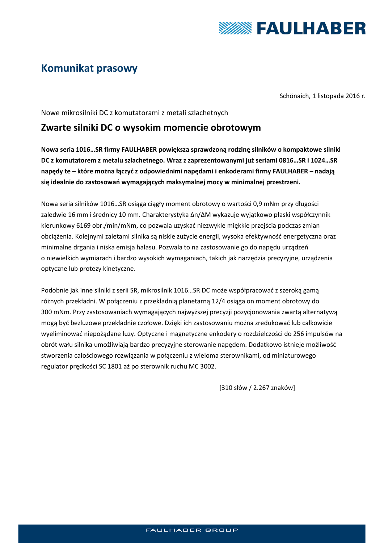

# **Komunikat prasowy**

Schönaich, 1 listopada 2016 r.

Nowe mikrosilniki DC z komutatorami z metali szlachetnych

### **Zwarte silniki DC o wysokim momencie obrotowym**

**Nowa seria 1016…SR firmy FAULHABER powiększa sprawdzoną rodzinę silników o kompaktowe silniki DC z komutatorem z metalu szlachetnego. Wraz z zaprezentowanymi już seriami 0816…SR i 1024…SR napędy te – które można łączyć z odpowiednimi napędami i enkoderami firmy FAULHABER – nadają się idealnie do zastosowań wymagających maksymalnej mocy w minimalnej przestrzeni.**

Nowa seria silników 1016…SR osiąga ciągły moment obrotowy o wartości 0,9 mNm przy długości zaledwie 16 mm i średnicy 10 mm. Charakterystyka Δn/ΔM wykazuje wyjątkowo płaski współczynnik kierunkowy 6169 obr./min/mNm, co pozwala uzyskać niezwykle miękkie przejścia podczas zmian obciążenia. Kolejnymi zaletami silnika są niskie zużycie energii, wysoka efektywność energetyczna oraz minimalne drgania i niska emisja hałasu. Pozwala to na zastosowanie go do napędu urządzeń o niewielkich wymiarach i bardzo wysokich wymaganiach, takich jak narzędzia precyzyjne, urządzenia optyczne lub protezy kinetyczne.

Podobnie jak inne silniki z serii SR, mikrosilnik 1016…SR DC może współpracować z szeroką gamą różnych przekładni. W połączeniu z przekładnią planetarną 12/4 osiąga on moment obrotowy do 300 mNm. Przy zastosowaniach wymagających najwyższej precyzji pozycjonowania zwartą alternatywą mogą być bezluzowe przekładnie czołowe. Dzięki ich zastosowaniu można zredukować lub całkowicie wyeliminować niepożądane luzy. Optyczne i magnetyczne enkodery o rozdzielczości do 256 impulsów na obrót wału silnika umożliwiają bardzo precyzyjne sterowanie napędem. Dodatkowo istnieje możliwość stworzenia całościowego rozwiązania w połączeniu z wieloma sterownikami, od miniaturowego regulator prędkości SC 1801 aż po sterownik ruchu MC 3002.

[310 słów / 2.267 znaków]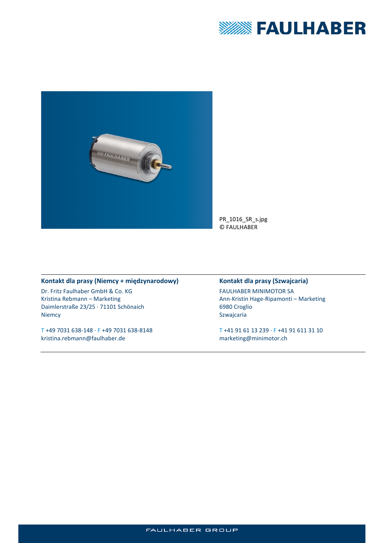



### **Kontakt dla prasy (Niemcy + międzynarodowy)**

Dr. Fritz Faulhaber GmbH & Co. KG Kristina Rebmann – Marketing Daimlerstraße 23/25 · 71101 Schönaich Niemcy

T +49 7031 638-148 · F +49 7031 638-8148 kristina.rebmann@faulhaber.de

### **Kontakt dla prasy (Szwajcaria)**

FAULHABER MINIMOTOR SA Ann-Kristin Hage-Ripamonti – Marketing 6980 Croglio Szwajcaria

T +41 91 61 13 239 · F +41 91 611 31 10 marketing@minimotor.ch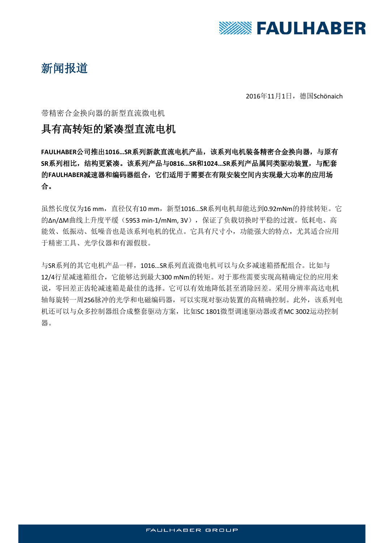

# 新闻报道

2016年11月1日,德国Schönaich

### 带精密合金换向器的新型直流微电机

## 具有高转矩的紧凑型直流电机

**FAULHABER**公司推出**1016…SR**系列新款直流电机产品,该系列电机装备精密合金换向器,与原有 **SR**系列相比,结构更紧凑。该系列产品与**0816…SR**和**1024…SR**系列产品属同类驱动装置,与配套 的**FAULHABER**减速器和编码器组合,它们适用于需要在有限安装空间内实现最大功率的应用场 合。

虽然长度仅为16 mm, 直径仅有10 mm, 新型1016...SR系列电机却能达到0.92mNm的持续转矩。它 的Δn/ΔM曲线上升度平缓(5953 min-1/mNm, 3V),保证了负载切换时平稳的过渡。低耗电、高 能效、低振动、低噪音也是该系列电机的优点。它具有尺寸小,功能强大的特点,尤其适合应用 于精密工具、光学仪器和有源假肢。

与SR系列的其它电机产品一样,1016…SR系列直流微电机可以与众多减速箱搭配组合。比如与 12/4行星减速箱组合,它能够达到最大300 mNm的转矩。对于那些需要实现高精确定位的应用来 说,零回差正齿轮减速箱是最佳的选择。它可以有效地降低甚至消除回差。采用分辨率高达电机 轴每旋转一周256脉冲的光学和电磁编码器,可以实现对驱动装置的高精确控制。此外,该系列电 机还可以与众多控制器组合成整套驱动方案,比如SC 1801微型调速驱动器或者MC 3002运动控制 器。